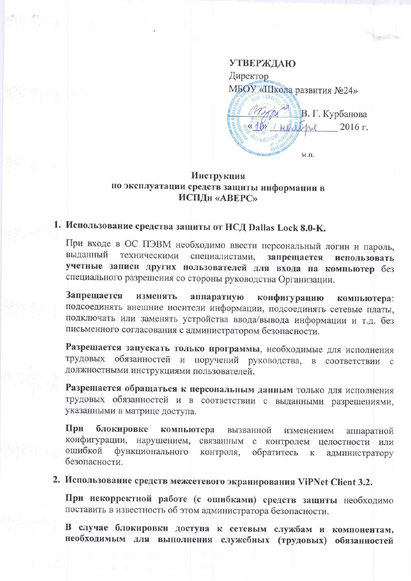**УТВЕРЖДАЮ** Директор МБОУ «Школа развития №24» В. Г. Курбанова «16» mestrue 2016 г.  $M.\Pi.$ 

## **Инструкция** по эксплуатации средств защиты информации в ИСПДН «АВЕРС»

## 1. Использование средства защиты от НСД Dallas Lock 8.0-K.

При входе в ОС ПЭВМ необходимо ввести персональный логин и пароль, выданный техническими специалистами, запрещается использовать учетные записи других пользователей для входа на компьютер без специального разрешения со стороны руководства Организации.

Запрещается изменять аппаратную конфигурацию компьютера: подсоединять внешние носители информации, подсоединять сетевые платы, подключать или заменять устройства ввода/вывода информации и т.д. без письменного согласования с администратором безопасности.

Разрешается запускать только программы, необходимые для исполнения трудовых обязанностей и поручений руководства, в соответствии с должностными инструкциями пользователей.

Разрешается обращаться к персональным данным только для исполнения трудовых обязанностей и в соответствии с выданными разрешениями, указанными в матрице доступа.

При блокировке компьютера вызванной изменением аппаратной конфигурации, нарушением, связанным с контролем целостности или ошибкой функционального контроля, обратитесь администратору  ${\bf K}$ безопасности.

2. Использование средств межсетевого экранирования ViPNet Client 3.2.

При некорректной работе (с ошибками) средств защиты необходимо поставить в известность об этом администратора безопасности.

В случае блокировки доступа к сетевым службам и компонентам, необходимым для выполнения служебных (трудовых) обязанностей